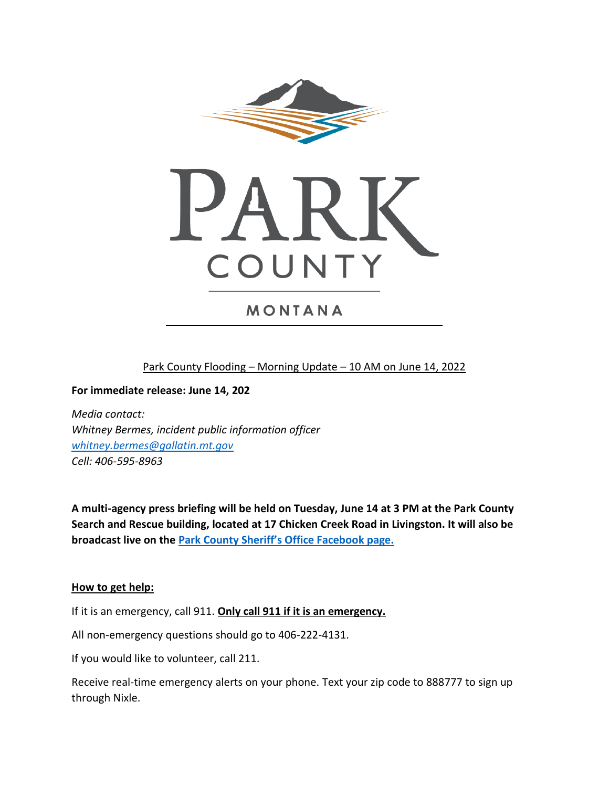

# MONTANA

Park County Flooding – Morning Update – 10 AM on June 14, 2022

**For immediate release: June 14, 202**

*Media contact: Whitney Bermes, incident public information officer [whitney.bermes@gallatin.mt.gov](mailto:whitney.bermes@gallatin.mt.gov) Cell: 406-595-8963*

**A multi-agency press briefing will be held on Tuesday, June 14 at 3 PM at the Park County Search and Rescue building, located at 17 Chicken Creek Road in Livingston. It will also be broadcast live on the Par[k County Sheriff's Office Facebook page.](https://www.facebook.com/profile.php?id=100064731036817)**

#### **How to get help:**

If it is an emergency, call 911. **Only call 911 if it is an emergency.**

All non-emergency questions should go to 406-222-4131.

If you would like to volunteer, call 211.

Receive real-time emergency alerts on your phone. Text your zip code to 888777 to sign up through Nixle.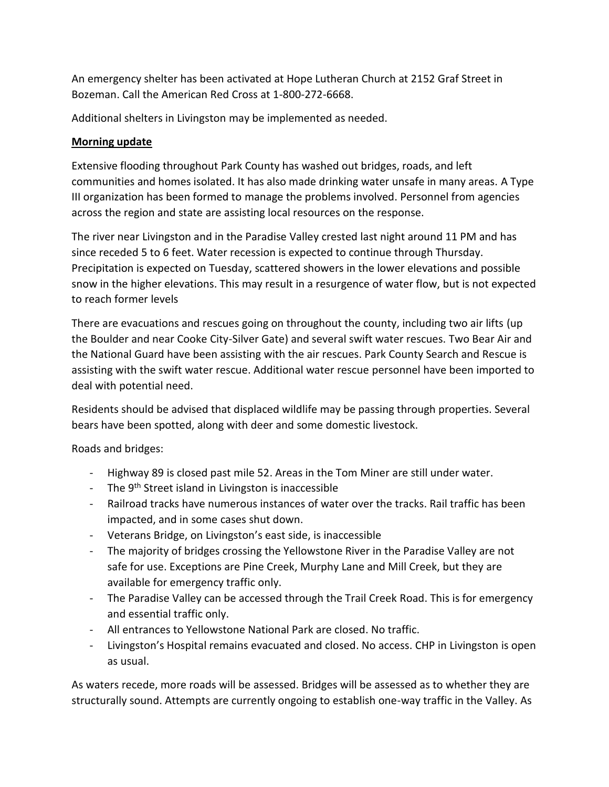An emergency shelter has been activated at Hope Lutheran Church at 2152 Graf Street in Bozeman. Call the American Red Cross at 1-800-272-6668.

Additional shelters in Livingston may be implemented as needed.

## **Morning update**

Extensive flooding throughout Park County has washed out bridges, roads, and left communities and homes isolated. It has also made drinking water unsafe in many areas. A Type III organization has been formed to manage the problems involved. Personnel from agencies across the region and state are assisting local resources on the response.

The river near Livingston and in the Paradise Valley crested last night around 11 PM and has since receded 5 to 6 feet. Water recession is expected to continue through Thursday. Precipitation is expected on Tuesday, scattered showers in the lower elevations and possible snow in the higher elevations. This may result in a resurgence of water flow, but is not expected to reach former levels

There are evacuations and rescues going on throughout the county, including two air lifts (up the Boulder and near Cooke City-Silver Gate) and several swift water rescues. Two Bear Air and the National Guard have been assisting with the air rescues. Park County Search and Rescue is assisting with the swift water rescue. Additional water rescue personnel have been imported to deal with potential need.

Residents should be advised that displaced wildlife may be passing through properties. Several bears have been spotted, along with deer and some domestic livestock.

Roads and bridges:

- Highway 89 is closed past mile 52. Areas in the Tom Miner are still under water.
- The 9<sup>th</sup> Street island in Livingston is inaccessible
- Railroad tracks have numerous instances of water over the tracks. Rail traffic has been impacted, and in some cases shut down.
- Veterans Bridge, on Livingston's east side, is inaccessible
- The majority of bridges crossing the Yellowstone River in the Paradise Valley are not safe for use. Exceptions are Pine Creek, Murphy Lane and Mill Creek, but they are available for emergency traffic only.
- The Paradise Valley can be accessed through the Trail Creek Road. This is for emergency and essential traffic only.
- All entrances to Yellowstone National Park are closed. No traffic.
- Livingston's Hospital remains evacuated and closed. No access. CHP in Livingston is open as usual.

As waters recede, more roads will be assessed. Bridges will be assessed as to whether they are structurally sound. Attempts are currently ongoing to establish one-way traffic in the Valley. As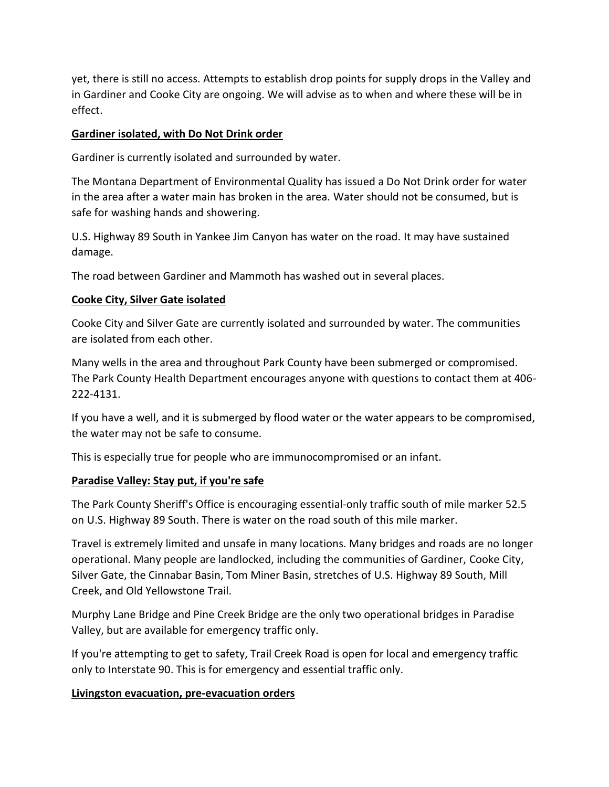yet, there is still no access. Attempts to establish drop points for supply drops in the Valley and in Gardiner and Cooke City are ongoing. We will advise as to when and where these will be in effect.

#### **Gardiner isolated, with Do Not Drink order**

Gardiner is currently isolated and surrounded by water.

The Montana Department of Environmental Quality has issued a Do Not Drink order for water in the area after a water main has broken in the area. Water should not be consumed, but is safe for washing hands and showering.

U.S. Highway 89 South in Yankee Jim Canyon has water on the road. It may have sustained damage.

The road between Gardiner and Mammoth has washed out in several places.

#### **Cooke City, Silver Gate isolated**

Cooke City and Silver Gate are currently isolated and surrounded by water. The communities are isolated from each other.

Many wells in the area and throughout Park County have been submerged or compromised. The Park County Health Department encourages anyone with questions to contact them at 406- 222-4131.

If you have a well, and it is submerged by flood water or the water appears to be compromised, the water may not be safe to consume.

This is especially true for people who are immunocompromised or an infant.

### **Paradise Valley: Stay put, if you're safe**

The Park County Sheriff's Office is encouraging essential-only traffic south of mile marker 52.5 on U.S. Highway 89 South. There is water on the road south of this mile marker.

Travel is extremely limited and unsafe in many locations. Many bridges and roads are no longer operational. Many people are landlocked, including the communities of Gardiner, Cooke City, Silver Gate, the Cinnabar Basin, Tom Miner Basin, stretches of U.S. Highway 89 South, Mill Creek, and Old Yellowstone Trail.

Murphy Lane Bridge and Pine Creek Bridge are the only two operational bridges in Paradise Valley, but are available for emergency traffic only.

If you're attempting to get to safety, Trail Creek Road is open for local and emergency traffic only to Interstate 90. This is for emergency and essential traffic only.

### **Livingston evacuation, pre-evacuation orders**